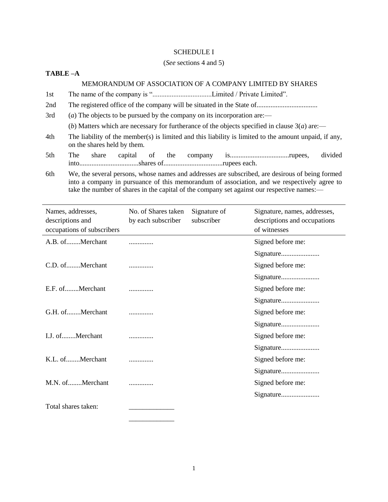# SCHEDULE I

# (*See* sections 4 and 5)

# **TABLE –A**

# MEMORANDUM OF ASSOCIATION OF A COMPANY LIMITED BY SHARES

- 1st The name of the company is "..................................Limited / Private Limited".
- 2nd The registered office of the company will be situated in the State of...................................
- 3rd (*a*) The objects to be pursued by the company on its incorporation are:—

(*b*) Matters which are necessary for furtherance of the objects specified in clause  $3(a)$  are:—

- 4th The liability of the member(s) is limited and this liability is limited to the amount unpaid, if any, on the shares held by them.
- 5th The share capital of the company is..................................rupees, divided into..................................shares of..................................rupees each.
- 6th We, the several persons, whose names and addresses are subscribed, are desirous of being formed into a company in pursuance of this memorandum of association, and we respectively agree to take the number of shares in the capital of the company set against our respective names:—

| Names, addresses,<br>descriptions and<br>occupations of subscribers | No. of Shares taken<br>by each subscriber | Signature of<br>subscriber | Signature, names, addresses,<br>descriptions and occupations<br>of witnesses |
|---------------------------------------------------------------------|-------------------------------------------|----------------------------|------------------------------------------------------------------------------|
| A.B. ofMerchant                                                     |                                           |                            | Signed before me:                                                            |
|                                                                     |                                           |                            | Signature                                                                    |
| C.D. ofMerchant                                                     |                                           |                            | Signed before me:                                                            |
|                                                                     |                                           |                            | Signature                                                                    |
| E.F. ofMerchant                                                     |                                           |                            | Signed before me:                                                            |
|                                                                     |                                           |                            |                                                                              |
| G.H. ofMerchant                                                     |                                           |                            | Signed before me:                                                            |
|                                                                     |                                           |                            |                                                                              |
| I.J. ofMerchant                                                     |                                           |                            | Signed before me:                                                            |
|                                                                     |                                           |                            | Signature                                                                    |
| K.L. ofMerchant                                                     |                                           |                            | Signed before me:                                                            |
|                                                                     |                                           |                            |                                                                              |
| M.N. ofMerchant                                                     |                                           |                            | Signed before me:                                                            |
|                                                                     |                                           |                            |                                                                              |
| Total shares taken:                                                 |                                           |                            |                                                                              |

\_\_\_\_\_\_\_\_\_\_\_\_\_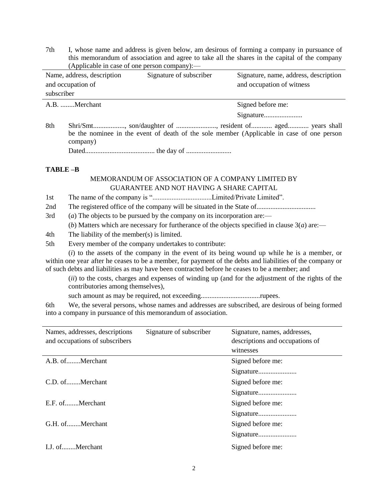7th I, whose name and address is given below, am desirous of forming a company in pursuance of this memorandum of association and agree to take all the shares in the capital of the company (Applicable in case of one person company):—

| Name, address, description | Signature of subscriber | Signature, name, address, description |
|----------------------------|-------------------------|---------------------------------------|
| and occupation of          |                         | and occupation of witness             |
| subscriber                 |                         |                                       |
| A.B. Merchant              |                         | Signed before me:                     |
|                            |                         |                                       |

8th Shri/Smt.................., son/daughter of ......................., resident of............ aged............ years shall be the nominee in the event of death of the sole member (Applicable in case of one person company)

Dated........................................ the day of ..........................

# **TABLE –B**

# MEMORANDUM OF ASSOCIATION OF A COMPANY LIMITED BY GUARANTEE AND NOT HAVING A SHARE CAPITAL

- 1st The name of the company is "..................................Limited/Private Limited".
- 2nd The registered office of the company will be situated in the State of..................................
- 3rd (*a*) The objects to be pursued by the company on its incorporation are:—

(*b*) Matters which are necessary for furtherance of the objects specified in clause  $3(a)$  are:—

- 4th The liability of the member(s) is limited.
- 5th Every member of the company undertakes to contribute:

(*i*) to the assets of the company in the event of its being wound up while he is a member, or within one year after he ceases to be a member, for payment of the debts and liabilities of the company or of such debts and liabilities as may have been contracted before he ceases to be a member; and

(*ii*) to the costs, charges and expenses of winding up (and for the adjustment of the rights of the contributories among themselves),

such amount as may be required, not exceeding..................................rupees.

6th We, the several persons, whose names and addresses are subscribed, are desirous of being formed into a company in pursuance of this memorandum of association.

| Names, addresses, descriptions<br>and occupations of subscribers | Signature of subscriber | Signature, names, addresses,<br>descriptions and occupations of<br>witnesses |
|------------------------------------------------------------------|-------------------------|------------------------------------------------------------------------------|
| A.B. ofMerchant                                                  |                         | Signed before me:                                                            |
|                                                                  |                         |                                                                              |
| C.D. ofMerchant                                                  |                         | Signed before me:                                                            |
|                                                                  |                         |                                                                              |
| E.F. ofMerchant                                                  |                         | Signed before me:                                                            |
|                                                                  |                         | Signature                                                                    |
| G.H. ofMerchant                                                  |                         | Signed before me:                                                            |
|                                                                  |                         |                                                                              |
| L.J. ofMerchant                                                  |                         | Signed before me:                                                            |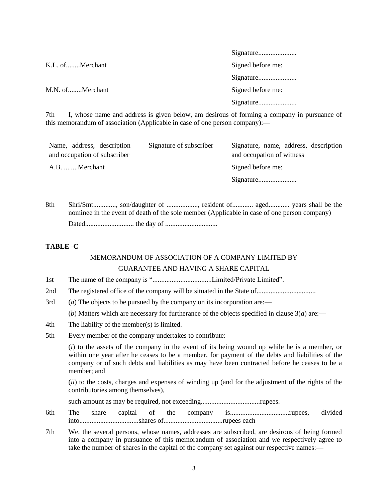| K.L. ofMerchant | Signed before me: |
|-----------------|-------------------|
|                 |                   |
| M.N. ofMerchant | Signed before me: |
|                 |                   |
|                 |                   |

7th I, whose name and address is given below, am desirous of forming a company in pursuance of this memorandum of association (Applicable in case of one person company):—

Signature......................

| Name, address, description<br>and occupation of subscriber | Signature of subscriber | Signature, name, address, description<br>and occupation of witness |
|------------------------------------------------------------|-------------------------|--------------------------------------------------------------------|
| A.B. Merchant                                              |                         | Signed before me:                                                  |
|                                                            |                         |                                                                    |

8th Shri/Smt............., son/daughter of .................., resident of............ aged............ years shall be the nominee in the event of death of the sole member (Applicable in case of one person company)

Dated............................ the day of ..............................

# **TABLE -C**

# MEMORANDUM OF ASSOCIATION OF A COMPANY LIMITED BY

# GUARANTEE AND HAVING A SHARE CAPITAL

- 1st The name of the company is "..................................Limited/Private Limited".
- 2nd The registered office of the company will be situated in the State of..................................
- 3rd (*a*) The objects to be pursued by the company on its incorporation are:—

(*b*) Matters which are necessary for furtherance of the objects specified in clause  $3(a)$  are:—

- 4th The liability of the member(s) is limited.
- 5th Every member of the company undertakes to contribute:

(*i*) to the assets of the company in the event of its being wound up while he is a member, or within one year after he ceases to be a member, for payment of the debts and liabilities of the company or of such debts and liabilities as may have been contracted before he ceases to be a member; and

(*ii*) to the costs, charges and expenses of winding up (and for the adjustment of the rights of the contributories among themselves),

such amount as may be required, not exceeding..................................rupees.

- 6th The share capital of the company is..................................rupees, divided into..................................shares of..................................rupees each
- 7th We, the several persons, whose names, addresses are subscribed, are desirous of being formed into a company in pursuance of this memorandum of association and we respectively agree to take the number of shares in the capital of the company set against our respective names:—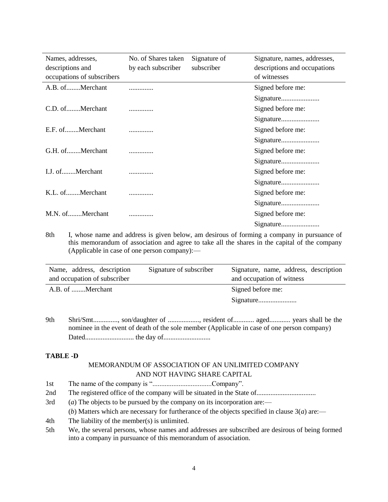| Names, addresses,          | No. of Shares taken | Signature of | Signature, names, addresses, |
|----------------------------|---------------------|--------------|------------------------------|
| descriptions and           | by each subscriber  | subscriber   | descriptions and occupations |
| occupations of subscribers |                     |              | of witnesses                 |
| A.B. ofMerchant            |                     |              | Signed before me:            |
|                            |                     |              | Signature                    |
| C.D. ofMerchant            |                     |              | Signed before me:            |
|                            |                     |              |                              |
| E.F. ofMerchant            |                     |              | Signed before me:            |
|                            |                     |              | Signature                    |
| G.H. ofMerchant            | .                   |              | Signed before me:            |
|                            |                     |              |                              |
| I.J. ofMerchant            | .                   |              | Signed before me:            |
|                            |                     |              | Signature                    |
| K.L. ofMerchant            |                     |              | Signed before me:            |
|                            |                     |              | Signature                    |
| M.N. ofMerchant            | .                   |              | Signed before me:            |
|                            |                     |              | Signature                    |

8th I, whose name and address is given below, am desirous of forming a company in pursuance of this memorandum of association and agree to take all the shares in the capital of the company (Applicable in case of one person company):—

| Name, address, description   | Signature of subscriber | Signature, name, address, description |
|------------------------------|-------------------------|---------------------------------------|
| and occupation of subscriber |                         | and occupation of witness             |
| A.B. of Merchant             |                         | Signed before me:                     |
|                              |                         |                                       |

9th Shri/Smt.............., son/daughter of .................., resident of............ aged............ years shall be the nominee in the event of death of the sole member (Applicable in case of one person company) Dated............................ the day of...........................

# **TABLE -D**

# MEMORANDUM OF ASSOCIATION OF AN UNLIMITED COMPANY AND NOT HAVING SHARE CAPITAL

- 1st The name of the company is "..................................Company".
- 2nd The registered office of the company will be situated in the State of..................................
- 3rd (*a*) The objects to be pursued by the company on its incorporation are:—

(*b*) Matters which are necessary for furtherance of the objects specified in clause  $3(a)$  are:—

- 4th The liability of the member(s) is unlimited.
- 5th We, the several persons, whose names and addresses are subscribed are desirous of being formed into a company in pursuance of this memorandum of association.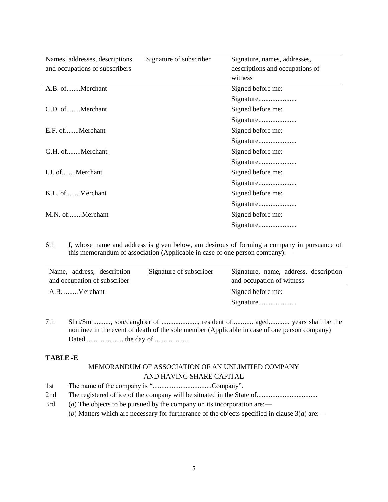| Names, addresses, descriptions<br>and occupations of subscribers | Signature of subscriber | Signature, names, addresses,<br>descriptions and occupations of<br>witness |
|------------------------------------------------------------------|-------------------------|----------------------------------------------------------------------------|
| A.B. ofMerchant                                                  |                         | Signed before me:                                                          |
|                                                                  |                         | Signature                                                                  |
| C.D. ofMerchant                                                  |                         | Signed before me:                                                          |
|                                                                  |                         | Signature                                                                  |
| E.F. ofMerchant                                                  |                         | Signed before me:                                                          |
|                                                                  |                         | Signature                                                                  |
| G.H. ofMerchant                                                  |                         | Signed before me:                                                          |
|                                                                  |                         | Signature                                                                  |
| I.J. ofMerchant                                                  |                         | Signed before me:                                                          |
|                                                                  |                         | Signature                                                                  |
| K.L. ofMerchant                                                  |                         | Signed before me:                                                          |
|                                                                  |                         | Signature                                                                  |
| M.N. ofMerchant                                                  |                         | Signed before me:                                                          |
|                                                                  |                         | Signature                                                                  |
|                                                                  |                         |                                                                            |

6th I, whose name and address is given below, am desirous of forming a company in pursuance of this memorandum of association (Applicable in case of one person company):—

| Name, address, description<br>and occupation of subscriber | Signature of subscriber | Signature, name, address, description<br>and occupation of witness |
|------------------------------------------------------------|-------------------------|--------------------------------------------------------------------|
| A.B. Merchant                                              |                         | Signed before me:                                                  |
|                                                            |                         |                                                                    |

7th Shri/Smt.........., son/daughter of ....................., resident of............ aged............ years shall be the nominee in the event of death of the sole member (Applicable in case of one person company) Dated...................... the day of....................

# **TABLE -E**

# MEMORANDUM OF ASSOCIATION OF AN UNLIMITED COMPANY AND HAVING SHARE CAPITAL

- 1st The name of the company is "..................................Company".
- 2nd The registered office of the company will be situated in the State of...................................
- 3rd (*a*) The objects to be pursued by the company on its incorporation are:—

(*b*) Matters which are necessary for furtherance of the objects specified in clause  $3(a)$  are:—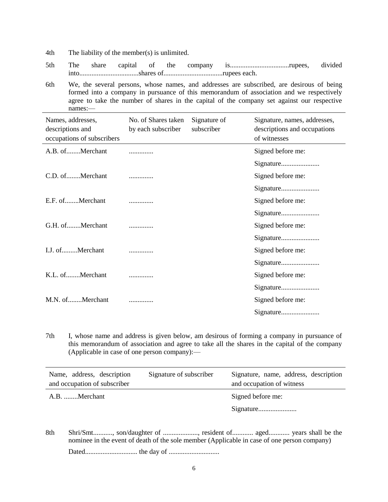4th The liability of the member(s) is unlimited.

- 5th The share capital of the company is..................................rupees, divided into..................................shares of..................................rupees each.
- 6th We, the several persons, whose names, and addresses are subscribed, are desirous of being formed into a company in pursuance of this memorandum of association and we respectively agree to take the number of shares in the capital of the company set against our respective names:—

| Names, addresses,<br>descriptions and<br>occupations of subscribers | No. of Shares taken<br>by each subscriber | Signature of<br>subscriber | Signature, names, addresses,<br>descriptions and occupations<br>of witnesses |
|---------------------------------------------------------------------|-------------------------------------------|----------------------------|------------------------------------------------------------------------------|
| A.B. ofMerchant                                                     |                                           |                            | Signed before me:                                                            |
|                                                                     |                                           |                            | Signature                                                                    |
| C.D. ofMerchant                                                     |                                           |                            | Signed before me:                                                            |
|                                                                     |                                           |                            |                                                                              |
| E.F. ofMerchant                                                     |                                           |                            | Signed before me:                                                            |
|                                                                     |                                           |                            | Signature                                                                    |
| G.H. ofMerchant                                                     |                                           |                            | Signed before me:                                                            |
|                                                                     |                                           |                            |                                                                              |
| I.J. ofMerchant                                                     |                                           |                            | Signed before me:                                                            |
|                                                                     |                                           |                            |                                                                              |
| K.L. ofMerchant                                                     |                                           |                            | Signed before me:                                                            |
|                                                                     |                                           |                            | Signature                                                                    |
| M.N. ofMerchant                                                     |                                           |                            | Signed before me:                                                            |
|                                                                     |                                           |                            |                                                                              |

7th I, whose name and address is given below, am desirous of forming a company in pursuance of this memorandum of association and agree to take all the shares in the capital of the company (Applicable in case of one person company):—

| Signature of subscriber | Signature, name, address, description<br>and occupation of witness |
|-------------------------|--------------------------------------------------------------------|
|                         | Signed before me:                                                  |
|                         |                                                                    |
|                         |                                                                    |

8th Shri/Smt..........., son/daughter of ...................., resident of............ aged............ years shall be the nominee in the event of death of the sole member (Applicable in case of one person company) Dated.............................. the day of .............................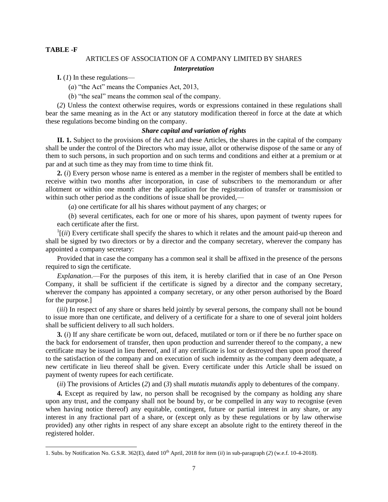# **TABLE -F**

 $\overline{a}$ 

# ARTICLES OF ASSOCIATION OF A COMPANY LIMITED BY SHARES

#### *Interpretation*

**I.**  $(I)$  In these regulations—

(*a*) "the Act" means the Companies Act, 2013,

(*b*) "the seal" means the common seal of the company.

(*2*) Unless the context otherwise requires, words or expressions contained in these regulations shall bear the same meaning as in the Act or any statutory modification thereof in force at the date at which these regulations become binding on the company.

### *Share capital and variation of rights*

**II. 1.** Subject to the provisions of the Act and these Articles, the shares in the capital of the company shall be under the control of the Directors who may issue, allot or otherwise dispose of the same or any of them to such persons, in such proportion and on such terms and conditions and either at a premium or at par and at such time as they may from time to time think fit.

**2.** (*i*) Every person whose name is entered as a member in the register of members shall be entitled to receive within two months after incorporation, in case of subscribers to the memorandum or after allotment or within one month after the application for the registration of transfer or transmission or within such other period as the conditions of issue shall be provided,—

(*a*) one certificate for all his shares without payment of any charges; or

(*b*) several certificates, each for one or more of his shares, upon payment of twenty rupees for each certificate after the first.

 $\frac{1}{i}$ [*(ii*) Every certificate shall specify the shares to which it relates and the amount paid-up thereon and shall be signed by two directors or by a director and the company secretary, wherever the company has appointed a company secretary:

Provided that in case the company has a common seal it shall be affixed in the presence of the persons required to sign the certificate.

*Explanation*.—For the purposes of this item, it is hereby clarified that in case of an One Person Company, it shall be sufficient if the certificate is signed by a director and the company secretary, wherever the company has appointed a company secretary, or any other person authorised by the Board for the purpose.]

(*iii*) In respect of any share or shares held jointly by several persons, the company shall not be bound to issue more than one certificate, and delivery of a certificate for a share to one of several joint holders shall be sufficient delivery to all such holders.

**3.** (*i*) If any share certificate be worn out, defaced, mutilated or torn or if there be no further space on the back for endorsement of transfer, then upon production and surrender thereof to the company, a new certificate may be issued in lieu thereof, and if any certificate is lost or destroyed then upon proof thereof to the satisfaction of the company and on execution of such indemnity as the company deem adequate, a new certificate in lieu thereof shall be given. Every certificate under this Article shall be issued on payment of twenty rupees for each certificate.

(*ii*) The provisions of Articles (*2*) and (*3*) shall *mutatis mutandis* apply to debentures of the company.

**4.** Except as required by law, no person shall be recognised by the company as holding any share upon any trust, and the company shall not be bound by, or be compelled in any way to recognise (even when having notice thereof) any equitable, contingent, future or partial interest in any share, or any interest in any fractional part of a share, or (except only as by these regulations or by law otherwise provided) any other rights in respect of any share except an absolute right to the entirety thereof in the registered holder.

<sup>1.</sup> Subs. by Notification No. G.S.R. 362(E), dated 10th April, 2018 for item (*ii*) in sub-paragraph (*2*) (w.e.f. 10-4-2018).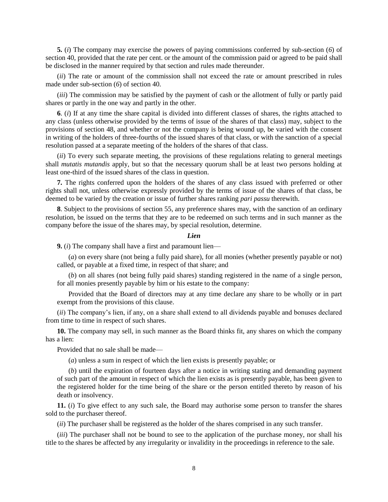**5.** (*i*) The company may exercise the powers of paying commissions conferred by sub-section (*6*) of section 40, provided that the rate per cent. or the amount of the commission paid or agreed to be paid shall be disclosed in the manner required by that section and rules made thereunder.

(*ii*) The rate or amount of the commission shall not exceed the rate or amount prescribed in rules made under sub-section (*6*) of section 40.

(*iii*) The commission may be satisfied by the payment of cash or the allotment of fully or partly paid shares or partly in the one way and partly in the other.

**6**. (*i*) If at any time the share capital is divided into different classes of shares, the rights attached to any class (unless otherwise provided by the terms of issue of the shares of that class) may, subject to the provisions of section 48, and whether or not the company is being wound up, be varied with the consent in writing of the holders of three-fourths of the issued shares of that class, or with the sanction of a special resolution passed at a separate meeting of the holders of the shares of that class.

(*ii*) To every such separate meeting, the provisions of these regulations relating to general meetings shall *mutatis mutandis* apply, but so that the necessary quorum shall be at least two persons holding at least one-third of the issued shares of the class in question.

**7.** The rights conferred upon the holders of the shares of any class issued with preferred or other rights shall not, unless otherwise expressly provided by the terms of issue of the shares of that class, be deemed to be varied by the creation or issue of further shares ranking *pari passu* therewith.

**8**. Subject to the provisions of section 55, any preference shares may, with the sanction of an ordinary resolution, be issued on the terms that they are to be redeemed on such terms and in such manner as the company before the issue of the shares may, by special resolution, determine.

#### *Lien*

**9.** (*i*) The company shall have a first and paramount lien—

(*a*) on every share (not being a fully paid share), for all monies (whether presently payable or not) called, or payable at a fixed time, in respect of that share; and

(*b*) on all shares (not being fully paid shares) standing registered in the name of a single person, for all monies presently payable by him or his estate to the company:

Provided that the Board of directors may at any time declare any share to be wholly or in part exempt from the provisions of this clause.

(*ii*) The company's lien, if any, on a share shall extend to all dividends payable and bonuses declared from time to time in respect of such shares.

**10.** The company may sell, in such manner as the Board thinks fit, any shares on which the company has a lien:

Provided that no sale shall be made—

(*a*) unless a sum in respect of which the lien exists is presently payable; or

(*b*) until the expiration of fourteen days after a notice in writing stating and demanding payment of such part of the amount in respect of which the lien exists as is presently payable, has been given to the registered holder for the time being of the share or the person entitled thereto by reason of his death or insolvency.

**11.** (*i*) To give effect to any such sale, the Board may authorise some person to transfer the shares sold to the purchaser thereof.

(*ii*) The purchaser shall be registered as the holder of the shares comprised in any such transfer.

(*iii*) The purchaser shall not be bound to see to the application of the purchase money, nor shall his title to the shares be affected by any irregularity or invalidity in the proceedings in reference to the sale.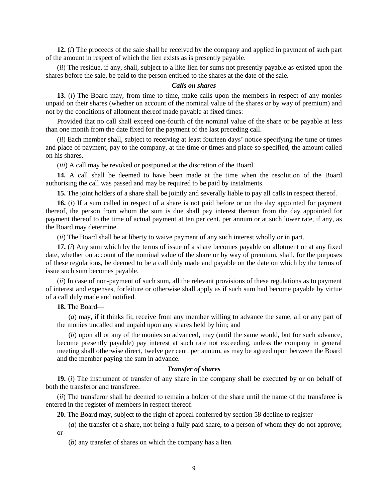**12.** (*i*) The proceeds of the sale shall be received by the company and applied in payment of such part of the amount in respect of which the lien exists as is presently payable.

(*ii*) The residue, if any, shall, subject to a like lien for sums not presently payable as existed upon the shares before the sale, be paid to the person entitled to the shares at the date of the sale.

### *Calls on shares*

**13.** (*i*) The Board may, from time to time, make calls upon the members in respect of any monies unpaid on their shares (whether on account of the nominal value of the shares or by way of premium) and not by the conditions of allotment thereof made payable at fixed times:

Provided that no call shall exceed one-fourth of the nominal value of the share or be payable at less than one month from the date fixed for the payment of the last preceding call.

(*ii*) Each member shall, subject to receiving at least fourteen days' notice specifying the time or times and place of payment, pay to the company, at the time or times and place so specified, the amount called on his shares.

(*iii*) A call may be revoked or postponed at the discretion of the Board.

**14.** A call shall be deemed to have been made at the time when the resolution of the Board authorising the call was passed and may be required to be paid by instalments.

**15.** The joint holders of a share shall be jointly and severally liable to pay all calls in respect thereof.

**16.** (*i*) If a sum called in respect of a share is not paid before or on the day appointed for payment thereof, the person from whom the sum is due shall pay interest thereon from the day appointed for payment thereof to the time of actual payment at ten per cent. per annum or at such lower rate, if any, as the Board may determine.

(*ii*) The Board shall be at liberty to waive payment of any such interest wholly or in part.

**17.** (*i*) Any sum which by the terms of issue of a share becomes payable on allotment or at any fixed date, whether on account of the nominal value of the share or by way of premium, shall, for the purposes of these regulations, be deemed to be a call duly made and payable on the date on which by the terms of issue such sum becomes payable.

(*ii*) In case of non-payment of such sum, all the relevant provisions of these regulations as to payment of interest and expenses, forfeiture or otherwise shall apply as if such sum had become payable by virtue of a call duly made and notified.

**18.** The Board—

(*a*) may, if it thinks fit, receive from any member willing to advance the same, all or any part of the monies uncalled and unpaid upon any shares held by him; and

(*b*) upon all or any of the monies so advanced, may (until the same would, but for such advance, become presently payable) pay interest at such rate not exceeding, unless the company in general meeting shall otherwise direct, twelve per cent. per annum, as may be agreed upon between the Board and the member paying the sum in advance.

### *Transfer of shares*

**19.** (*i*) The instrument of transfer of any share in the company shall be executed by or on behalf of both the transferor and transferee.

(*ii*) The transferor shall be deemed to remain a holder of the share until the name of the transferee is entered in the register of members in respect thereof.

**20.** The Board may, subject to the right of appeal conferred by section 58 decline to register—

(*a*) the transfer of a share, not being a fully paid share, to a person of whom they do not approve; or

(*b*) any transfer of shares on which the company has a lien.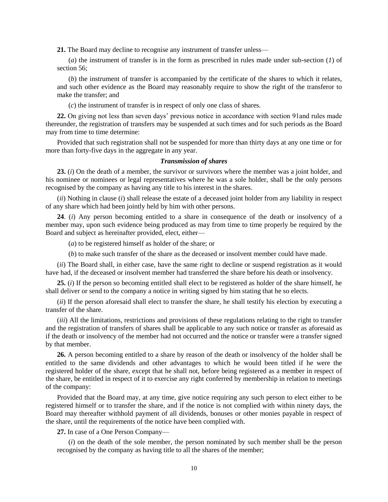**21.** The Board may decline to recognise any instrument of transfer unless—

(*a*) the instrument of transfer is in the form as prescribed in rules made under sub-section (*1*) of section 56:

(*b*) the instrument of transfer is accompanied by the certificate of the shares to which it relates, and such other evidence as the Board may reasonably require to show the right of the transferor to make the transfer; and

(*c*) the instrument of transfer is in respect of only one class of shares.

**22.** On giving not less than seven days' previous notice in accordance with section 91and rules made thereunder, the registration of transfers may be suspended at such times and for such periods as the Board may from time to time determine:

Provided that such registration shall not be suspended for more than thirty days at any one time or for more than forty-five days in the aggregate in any year.

#### *Transmission of shares*

**23.** (*i*) On the death of a member, the survivor or survivors where the member was a joint holder, and his nominee or nominees or legal representatives where he was a sole holder, shall be the only persons recognised by the company as having any title to his interest in the shares.

(*ii*) Nothing in clause (*i*) shall release the estate of a deceased joint holder from any liability in respect of any share which had been jointly held by him with other persons.

**24**. (*i*) Any person becoming entitled to a share in consequence of the death or insolvency of a member may, upon such evidence being produced as may from time to time properly be required by the Board and subject as hereinafter provided, elect, either—

(*a*) to be registered himself as holder of the share; or

(*b*) to make such transfer of the share as the deceased or insolvent member could have made.

(*ii*) The Board shall, in either case, have the same right to decline or suspend registration as it would have had, if the deceased or insolvent member had transferred the share before his death or insolvency.

**25.** (*i*) If the person so becoming entitled shall elect to be registered as holder of the share himself, he shall deliver or send to the company a notice in writing signed by him stating that he so elects.

(*ii*) If the person aforesaid shall elect to transfer the share, he shall testify his election by executing a transfer of the share.

(*iii*) All the limitations, restrictions and provisions of these regulations relating to the right to transfer and the registration of transfers of shares shall be applicable to any such notice or transfer as aforesaid as if the death or insolvency of the member had not occurred and the notice or transfer were a transfer signed by that member.

**26.** A person becoming entitled to a share by reason of the death or insolvency of the holder shall be entitled to the same dividends and other advantages to which he would been titled if he were the registered holder of the share, except that he shall not, before being registered as a member in respect of the share, be entitled in respect of it to exercise any right conferred by membership in relation to meetings of the company:

Provided that the Board may, at any time, give notice requiring any such person to elect either to be registered himself or to transfer the share, and if the notice is not complied with within ninety days, the Board may thereafter withhold payment of all dividends, bonuses or other monies payable in respect of the share, until the requirements of the notice have been complied with.

**27.** In case of a One Person Company—

(*i*) on the death of the sole member, the person nominated by such member shall be the person recognised by the company as having title to all the shares of the member;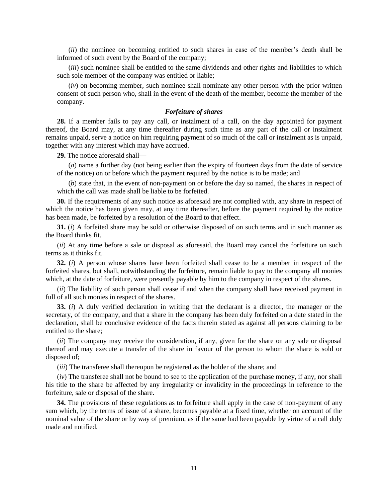(*ii*) the nominee on becoming entitled to such shares in case of the member's death shall be informed of such event by the Board of the company;

(*iii*) such nominee shall be entitled to the same dividends and other rights and liabilities to which such sole member of the company was entitled or liable;

(*iv*) on becoming member, such nominee shall nominate any other person with the prior written consent of such person who, shall in the event of the death of the member, become the member of the company.

### *Forfeiture of shares*

**28.** If a member fails to pay any call, or instalment of a call, on the day appointed for payment thereof, the Board may, at any time thereafter during such time as any part of the call or instalment remains unpaid, serve a notice on him requiring payment of so much of the call or instalment as is unpaid, together with any interest which may have accrued.

**29.** The notice aforesaid shall—

(*a*) name a further day (not being earlier than the expiry of fourteen days from the date of service of the notice) on or before which the payment required by the notice is to be made; and

(*b*) state that, in the event of non-payment on or before the day so named, the shares in respect of which the call was made shall be liable to be forfeited.

**30.** If the requirements of any such notice as aforesaid are not complied with, any share in respect of which the notice has been given may, at any time thereafter, before the payment required by the notice has been made, be forfeited by a resolution of the Board to that effect.

**31.** (*i*) A forfeited share may be sold or otherwise disposed of on such terms and in such manner as the Board thinks fit.

(*ii*) At any time before a sale or disposal as aforesaid, the Board may cancel the forfeiture on such terms as it thinks fit.

**32.** (*i*) A person whose shares have been forfeited shall cease to be a member in respect of the forfeited shares, but shall, notwithstanding the forfeiture, remain liable to pay to the company all monies which, at the date of forfeiture, were presently payable by him to the company in respect of the shares.

(*ii*) The liability of such person shall cease if and when the company shall have received payment in full of all such monies in respect of the shares.

**33.** (*i*) A duly verified declaration in writing that the declarant is a director, the manager or the secretary, of the company, and that a share in the company has been duly forfeited on a date stated in the declaration, shall be conclusive evidence of the facts therein stated as against all persons claiming to be entitled to the share;

(*ii*) The company may receive the consideration, if any, given for the share on any sale or disposal thereof and may execute a transfer of the share in favour of the person to whom the share is sold or disposed of;

(*iii*) The transferee shall thereupon be registered as the holder of the share; and

(*iv*) The transferee shall not be bound to see to the application of the purchase money, if any, nor shall his title to the share be affected by any irregularity or invalidity in the proceedings in reference to the forfeiture, sale or disposal of the share.

**34.** The provisions of these regulations as to forfeiture shall apply in the case of non-payment of any sum which, by the terms of issue of a share, becomes payable at a fixed time, whether on account of the nominal value of the share or by way of premium, as if the same had been payable by virtue of a call duly made and notified.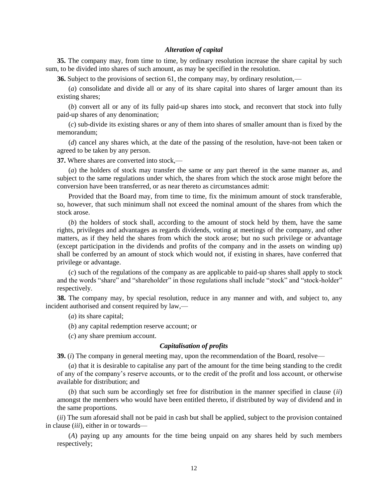### *Alteration of capital*

**35.** The company may, from time to time, by ordinary resolution increase the share capital by such sum, to be divided into shares of such amount, as may be specified in the resolution.

**36.** Subject to the provisions of section 61, the company may, by ordinary resolution,—

(*a*) consolidate and divide all or any of its share capital into shares of larger amount than its existing shares;

(*b*) convert all or any of its fully paid-up shares into stock, and reconvert that stock into fully paid-up shares of any denomination;

(*c*) sub-divide its existing shares or any of them into shares of smaller amount than is fixed by the memorandum;

(*d*) cancel any shares which, at the date of the passing of the resolution, have-not been taken or agreed to be taken by any person.

**37.** Where shares are converted into stock,—

(*a*) the holders of stock may transfer the same or any part thereof in the same manner as, and subject to the same regulations under which, the shares from which the stock arose might before the conversion have been transferred, or as near thereto as circumstances admit:

Provided that the Board may, from time to time, fix the minimum amount of stock transferable, so, however, that such minimum shall not exceed the nominal amount of the shares from which the stock arose.

(*b*) the holders of stock shall, according to the amount of stock held by them, have the same rights, privileges and advantages as regards dividends, voting at meetings of the company, and other matters, as if they held the shares from which the stock arose; but no such privilege or advantage (except participation in the dividends and profits of the company and in the assets on winding up) shall be conferred by an amount of stock which would not, if existing in shares, have conferred that privilege or advantage.

(*c*) such of the regulations of the company as are applicable to paid-up shares shall apply to stock and the words "share" and "shareholder" in those regulations shall include "stock" and "stock-holder" respectively.

**38.** The company may, by special resolution, reduce in any manner and with, and subject to, any incident authorised and consent required by law,—

(*a*) its share capital;

(*b*) any capital redemption reserve account; or

(*c*) any share premium account.

### *Capitalisation of profits*

**39.** *(i)* The company in general meeting may, upon the recommendation of the Board, resolve—

(*a*) that it is desirable to capitalise any part of the amount for the time being standing to the credit of any of the company's reserve accounts, or to the credit of the profit and loss account, or otherwise available for distribution; and

(*b*) that such sum be accordingly set free for distribution in the manner specified in clause (*ii*) amongst the members who would have been entitled thereto, if distributed by way of dividend and in the same proportions.

(*ii*) The sum aforesaid shall not be paid in cash but shall be applied, subject to the provision contained in clause (*iii*), either in or towards—

(*A*) paying up any amounts for the time being unpaid on any shares held by such members respectively;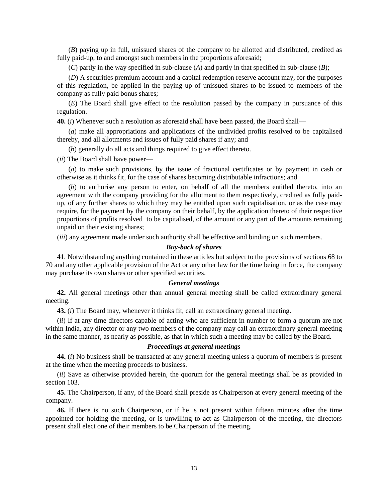(*B*) paying up in full, unissued shares of the company to be allotted and distributed, credited as fully paid-up, to and amongst such members in the proportions aforesaid;

(*C*) partly in the way specified in sub-clause (*A*) and partly in that specified in sub-clause (*B*);

(*D*) A securities premium account and a capital redemption reserve account may, for the purposes of this regulation, be applied in the paying up of unissued shares to be issued to members of the company as fully paid bonus shares;

(*E*) The Board shall give effect to the resolution passed by the company in pursuance of this regulation.

**40.** (*i*) Whenever such a resolution as aforesaid shall have been passed, the Board shall—

(*a*) make all appropriations and applications of the undivided profits resolved to be capitalised thereby, and all allotments and issues of fully paid shares if any; and

(*b*) generally do all acts and things required to give effect thereto.

(*ii*) The Board shall have power—

(*a*) to make such provisions, by the issue of fractional certificates or by payment in cash or otherwise as it thinks fit, for the case of shares becoming distributable infractions; and

(*b*) to authorise any person to enter, on behalf of all the members entitled thereto, into an agreement with the company providing for the allotment to them respectively, credited as fully paidup, of any further shares to which they may be entitled upon such capitalisation, or as the case may require, for the payment by the company on their behalf, by the application thereto of their respective proportions of profits resolved to be capitalised, of the amount or any part of the amounts remaining unpaid on their existing shares;

(*iii*) any agreement made under such authority shall be effective and binding on such members.

# *Buy-back of shares*

**41**. Notwithstanding anything contained in these articles but subject to the provisions of sections 68 to 70 and any other applicable provision of the Act or any other law for the time being in force, the company may purchase its own shares or other specified securities.

### *General meetings*

**42.** All general meetings other than annual general meeting shall be called extraordinary general meeting.

**43.** (*i*) The Board may, whenever it thinks fit, call an extraordinary general meeting.

(*ii*) If at any time directors capable of acting who are sufficient in number to form a quorum are not within India, any director or any two members of the company may call an extraordinary general meeting in the same manner, as nearly as possible, as that in which such a meeting may be called by the Board.

### *Proceedings at general meetings*

**44.** (*i*) No business shall be transacted at any general meeting unless a quorum of members is present at the time when the meeting proceeds to business.

(*ii*) Save as otherwise provided herein, the quorum for the general meetings shall be as provided in section 103.

**45.** The Chairperson, if any, of the Board shall preside as Chairperson at every general meeting of the company.

**46.** If there is no such Chairperson, or if he is not present within fifteen minutes after the time appointed for holding the meeting, or is unwilling to act as Chairperson of the meeting, the directors present shall elect one of their members to be Chairperson of the meeting.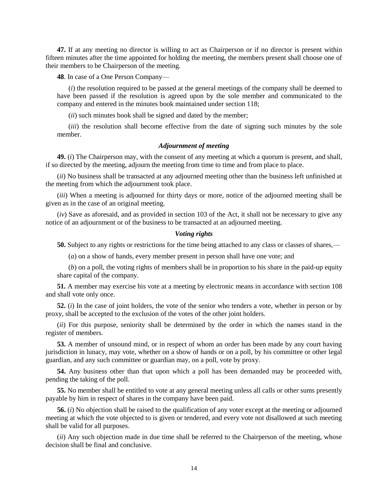**47.** If at any meeting no director is willing to act as Chairperson or if no director is present within fifteen minutes after the time appointed for holding the meeting, the members present shall choose one of their members to be Chairperson of the meeting.

**48**. In case of a One Person Company—

(*i*) the resolution required to be passed at the general meetings of the company shall be deemed to have been passed if the resolution is agreed upon by the sole member and communicated to the company and entered in the minutes book maintained under section 118;

(*ii*) such minutes book shall be signed and dated by the member;

(*iii*) the resolution shall become effective from the date of signing such minutes by the sole member.

# *Adjournment of meeting*

**49.** (*i*) The Chairperson may, with the consent of any meeting at which a quorum is present, and shall, if so directed by the meeting, adjourn the meeting from time to time and from place to place.

(*ii*) No business shall be transacted at any adjourned meeting other than the business left unfinished at the meeting from which the adjournment took place.

(*iii*) When a meeting is adjourned for thirty days or more, notice of the adjourned meeting shall be given as in the case of an original meeting.

(*iv*) Save as aforesaid, and as provided in section 103 of the Act, it shall not be necessary to give any notice of an adjournment or of the business to be transacted at an adjourned meeting.

### *Voting rights*

**50.** Subject to any rights or restrictions for the time being attached to any class or classes of shares,—

(*a*) on a show of hands, every member present in person shall have one vote; and

(*b*) on a poll, the voting rights of members shall be in proportion to his share in the paid-up equity share capital of the company.

**51.** A member may exercise his vote at a meeting by electronic means in accordance with section 108 and shall vote only once.

**52.** (*i*) In the case of joint holders, the vote of the senior who tenders a vote, whether in person or by proxy, shall be accepted to the exclusion of the votes of the other joint holders.

(*ii*) For this purpose, seniority shall be determined by the order in which the names stand in the register of members.

**53.** A member of unsound mind, or in respect of whom an order has been made by any court having jurisdiction in lunacy, may vote, whether on a show of hands or on a poll, by his committee or other legal guardian, and any such committee or guardian may, on a poll, vote by proxy.

**54.** Any business other than that upon which a poll has been demanded may be proceeded with, pending the taking of the poll.

**55.** No member shall be entitled to vote at any general meeting unless all calls or other sums presently payable by him in respect of shares in the company have been paid.

**56.** (*i*) No objection shall be raised to the qualification of any voter except at the meeting or adjourned meeting at which the vote objected to is given or tendered, and every vote not disallowed at such meeting shall be valid for all purposes.

(*ii*) Any such objection made in due time shall be referred to the Chairperson of the meeting, whose decision shall be final and conclusive.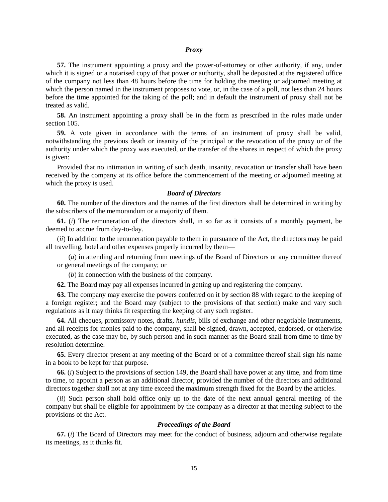#### *Proxy*

**57.** The instrument appointing a proxy and the power-of-attorney or other authority, if any, under which it is signed or a notarised copy of that power or authority, shall be deposited at the registered office of the company not less than 48 hours before the time for holding the meeting or adjourned meeting at which the person named in the instrument proposes to vote, or, in the case of a poll, not less than 24 hours before the time appointed for the taking of the poll; and in default the instrument of proxy shall not be treated as valid.

**58.** An instrument appointing a proxy shall be in the form as prescribed in the rules made under section 105.

**59.** A vote given in accordance with the terms of an instrument of proxy shall be valid, notwithstanding the previous death or insanity of the principal or the revocation of the proxy or of the authority under which the proxy was executed, or the transfer of the shares in respect of which the proxy is given:

Provided that no intimation in writing of such death, insanity, revocation or transfer shall have been received by the company at its office before the commencement of the meeting or adjourned meeting at which the proxy is used.

#### *Board of Directors*

**60.** The number of the directors and the names of the first directors shall be determined in writing by the subscribers of the memorandum or a majority of them.

**61.** (*i*) The remuneration of the directors shall, in so far as it consists of a monthly payment, be deemed to accrue from day-to-day.

(*ii*) In addition to the remuneration payable to them in pursuance of the Act, the directors may be paid all travelling, hotel and other expenses properly incurred by them—

(*a*) in attending and returning from meetings of the Board of Directors or any committee thereof or general meetings of the company; or

(*b*) in connection with the business of the company.

**62.** The Board may pay all expenses incurred in getting up and registering the company.

**63.** The company may exercise the powers conferred on it by section 88 with regard to the keeping of a foreign register; and the Board may (subject to the provisions of that section) make and vary such regulations as it may thinks fit respecting the keeping of any such register.

**64.** All cheques, promissory notes, drafts, *hundis*, bills of exchange and other negotiable instruments, and all receipts for monies paid to the company, shall be signed, drawn, accepted, endorsed, or otherwise executed, as the case may be, by such person and in such manner as the Board shall from time to time by resolution determine.

**65.** Every director present at any meeting of the Board or of a committee thereof shall sign his name in a book to be kept for that purpose.

**66.** (*i*) Subject to the provisions of section 149, the Board shall have power at any time, and from time to time, to appoint a person as an additional director, provided the number of the directors and additional directors together shall not at any time exceed the maximum strength fixed for the Board by the articles.

(*ii*) Such person shall hold office only up to the date of the next annual general meeting of the company but shall be eligible for appointment by the company as a director at that meeting subject to the provisions of the Act.

#### *Proceedings of the Board*

**67.** (*i*) The Board of Directors may meet for the conduct of business, adjourn and otherwise regulate its meetings, as it thinks fit.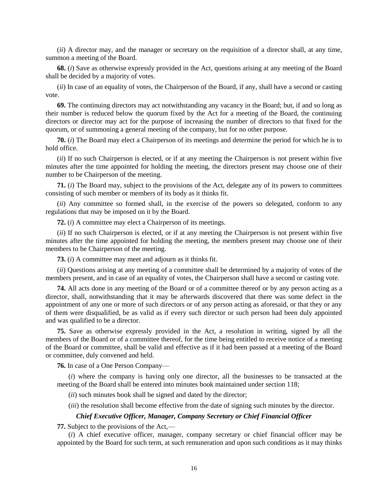(*ii*) A director may, and the manager or secretary on the requisition of a director shall, at any time, summon a meeting of the Board.

**68.** (*i*) Save as otherwise expressly provided in the Act, questions arising at any meeting of the Board shall be decided by a majority of votes.

(*ii*) In case of an equality of votes, the Chairperson of the Board, if any, shall have a second or casting vote.

**69.** The continuing directors may act notwithstanding any vacancy in the Board; but, if and so long as their number is reduced below the quorum fixed by the Act for a meeting of the Board, the continuing directors or director may act for the purpose of increasing the number of directors to that fixed for the quorum, or of summoning a general meeting of the company, but for no other purpose.

**70.** (*i*) The Board may elect a Chairperson of its meetings and determine the period for which he is to hold office.

(*ii*) If no such Chairperson is elected, or if at any meeting the Chairperson is not present within five minutes after the time appointed for holding the meeting, the directors present may choose one of their number to be Chairperson of the meeting.

**71.** (*i*) The Board may, subject to the provisions of the Act, delegate any of its powers to committees consisting of such member or members of its body as it thinks fit.

(*ii*) Any committee so formed shall, in the exercise of the powers so delegated, conform to any regulations that may be imposed on it by the Board.

**72.** (*i*) A committee may elect a Chairperson of its meetings.

(*ii*) If no such Chairperson is elected, or if at any meeting the Chairperson is not present within five minutes after the time appointed for holding the meeting, the members present may choose one of their members to be Chairperson of the meeting.

**73.** (*i*) A committee may meet and adjourn as it thinks fit.

(*ii*) Questions arising at any meeting of a committee shall be determined by a majority of votes of the members present, and in case of an equality of votes, the Chairperson shall have a second or casting vote.

**74.** All acts done in any meeting of the Board or of a committee thereof or by any person acting as a director, shall, notwithstanding that it may be afterwards discovered that there was some defect in the appointment of any one or more of such directors or of any person acting as aforesaid, or that they or any of them were disqualified, be as valid as if every such director or such person had been duly appointed and was qualified to be a director.

**75.** Save as otherwise expressly provided in the Act, a resolution in writing, signed by all the members of the Board or of a committee thereof, for the time being entitled to receive notice of a meeting of the Board or committee, shall be valid and effective as if it had been passed at a meeting of the Board or committee, duly convened and held.

**76.** In case of a One Person Company—

(*i*) where the company is having only one director, all the businesses to be transacted at the meeting of the Board shall be entered into minutes book maintained under section 118;

(*ii*) such minutes book shall be signed and dated by the director;

(*iii*) the resolution shall become effective from the date of signing such minutes by the director.

# *Chief Executive Officer, Manager, Company Secretary or Chief Financial Officer*

**77.** Subject to the provisions of the Act,—

(*i*) A chief executive officer, manager, company secretary or chief financial officer may be appointed by the Board for such term, at such remuneration and upon such conditions as it may thinks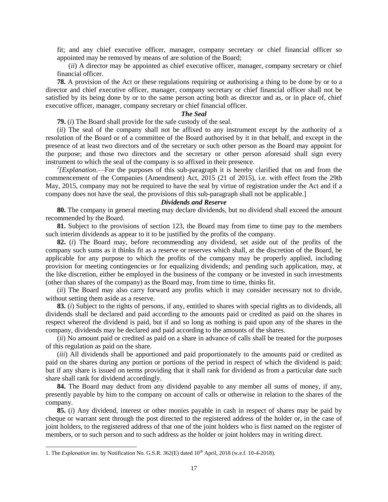fit; and any chief executive officer, manager, company secretary or chief financial officer so appointed may be removed by means of are solution of the Board;

(*ii*) A director may be appointed as chief executive officer, manager, company secretary or chief financial officer.

**78.** A provision of the Act or these regulations requiring or authorising a thing to be done by or to a director and chief executive officer, manager, company secretary or chief financial officer shall not be satisfied by its being done by or to the same person acting both as director and as, or in place of, chief executive officer, manager, company secretary or chief financial officer.

### *The Seal*

**79.** (*i*) The Board shall provide for the safe custody of the seal.

(*ii*) The seal of the company shall not be affixed to any instrument except by the authority of a resolution of the Board or of a committee of the Board authorised by it in that behalf, and except in the presence of at least two directors and of the secretary or such other person as the Board may appoint for the purpose; and those two directors and the secretary or other person aforesaid shall sign every instrument to which the seal of the company is so affixed in their presence.

 $2$ <sup>2</sup> *[Explanation*.—For the purposes of this sub-paragraph it is hereby clarified that on and from the commencement of the Companies (Amendment) Act, 2015 (21 of 2015), i.e. with effect from the 29th May, 2015, company may not be required to have the seal by virtue of registration under the Act and if a company does not have the seal, the provisions of this sub-paragraph shall not be applicable.]

# *Dividends and Reserve*

**80.** The company in general meeting may declare dividends, but no dividend shall exceed the amount recommended by the Board.

**81.** Subject to the provisions of section 123, the Board may from time to time pay to the members such interim dividends as appear to it to be justified by the profits of the company.

**82.** (*i*) The Board may, before recommending any dividend, set aside out of the profits of the company such sums as it thinks fit as a reserve or reserves which shall, at the discretion of the Board, be applicable for any purpose to which the profits of the company may be properly applied, including provision for meeting contingencies or for equalizing dividends; and pending such application, may, at the like discretion, either be employed in the business of the company or be invested in such investments (other than shares of the company) as the Board may, from time to time, thinks fit.

(*ii*) The Board may also carry forward any profits which it may consider necessary not to divide, without setting them aside as a reserve.

**83.** (*i*) Subject to the rights of persons, if any, entitled to shares with special rights as to dividends, all dividends shall be declared and paid according to the amounts paid or credited as paid on the shares in respect whereof the dividend is paid, but if and so long as nothing is paid upon any of the shares in the company, dividends may be declared and paid according to the amounts of the shares.

(*ii*) No amount paid or credited as paid on a share in advance of calls shall be treated for the purposes of this regulation as paid on the share.

(*iii*) All dividends shall be apportioned and paid proportionately to the amounts paid or credited as paid on the shares during any portion or portions of the period in respect of which the dividend is paid; but if any share is issued on terms providing that it shall rank for dividend as from a particular date such share shall rank for dividend accordingly.

**84.** The Board may deduct from any dividend payable to any member all sums of money, if any, presently payable by him to the company on account of calls or otherwise in relation to the shares of the company.

**85.** (*i*) Any dividend, interest or other monies payable in cash in respect of shares may be paid by cheque or warrant sent through the post directed to the registered address of the holder or, in the case of joint holders, to the registered address of that one of the joint holders who is first named on the register of members, or to such person and to such address as the holder or joint holders may in writing direct.

 $\overline{a}$ 

<sup>1.</sup> The *Explanation* ins. by Notification No. G.S.R. 362(E) dated 10<sup>th</sup> April, 2018 (w.e.f. 10-4-2018).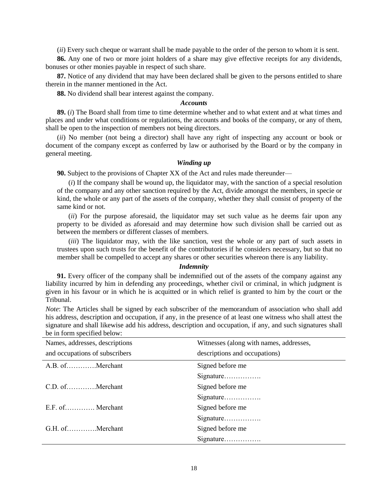(*ii*) Every such cheque or warrant shall be made payable to the order of the person to whom it is sent.

**86.** Any one of two or more joint holders of a share may give effective receipts for any dividends, bonuses or other monies payable in respect of such share.

**87.** Notice of any dividend that may have been declared shall be given to the persons entitled to share therein in the manner mentioned in the Act.

**88.** No dividend shall bear interest against the company.

### *Accounts*

**89.** (*i*) The Board shall from time to time determine whether and to what extent and at what times and places and under what conditions or regulations, the accounts and books of the company, or any of them, shall be open to the inspection of members not being directors.

(*ii*) No member (not being a director) shall have any right of inspecting any account or book or document of the company except as conferred by law or authorised by the Board or by the company in general meeting.

### *Winding up*

**90.** Subject to the provisions of Chapter XX of the Act and rules made thereunder—

(*i*) If the company shall be wound up, the liquidator may, with the sanction of a special resolution of the company and any other sanction required by the Act, divide amongst the members, in specie or kind, the whole or any part of the assets of the company, whether they shall consist of property of the same kind or not.

(*ii*) For the purpose aforesaid, the liquidator may set such value as he deems fair upon any property to be divided as aforesaid and may determine how such division shall be carried out as between the members or different classes of members.

(*iii*) The liquidator may, with the like sanction, vest the whole or any part of such assets in trustees upon such trusts for the benefit of the contributories if he considers necessary, but so that no member shall be compelled to accept any shares or other securities whereon there is any liability.

### *Indemnity*

**91.** Every officer of the company shall be indemnified out of the assets of the company against any liability incurred by him in defending any proceedings, whether civil or criminal, in which judgment is given in his favour or in which he is acquitted or in which relief is granted to him by the court or the Tribunal.

*Note*: The Articles shall be signed by each subscriber of the memorandum of association who shall add his address, description and occupation, if any, in the presence of at least one witness who shall attest the signature and shall likewise add his address, description and occupation, if any, and such signatures shall be in form specified below:

| Names, addresses, descriptions | Witnesses (along with names, addresses, |
|--------------------------------|-----------------------------------------|
| and occupations of subscribers | descriptions and occupations)           |
| A.B. ofMerchant                | Signed before me                        |
|                                | Signature                               |
| C.D. ofMerchant                | Signed before me                        |
|                                | Signature                               |
| E.F. of Merchant               | Signed before me                        |
|                                | Signature                               |
| G.H. ofMerchant                | Signed before me                        |
|                                | Signature                               |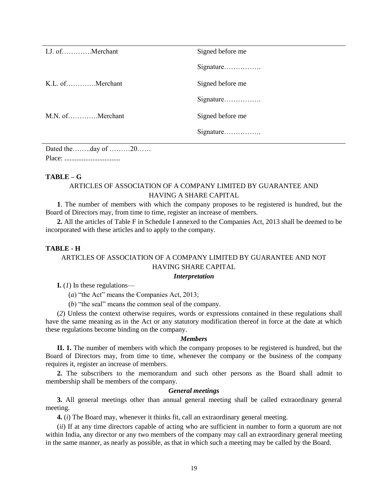Dated the……..day of ………20…… Place: ................................

# **TABLE – G**

# ARTICLES OF ASSOCIATION OF A COMPANY LIMITED BY GUARANTEE AND HAVING A SHARE CAPITAL

**1**. The number of members with which the company proposes to be registered is hundred, but the Board of Directors may, from time to time, register an increase of members.

**2.** All the articles of Table F in Schedule I annexed to the Companies Act, 2013 shall be deemed to be incorporated with these articles and to apply to the company.

# **TABLE - H**

# ARTICLES OF ASSOCIATION OF A COMPANY LIMITED BY GUARANTEE AND NOT HAVING SHARE CAPITAL

### *Interpretation*

**I.**  $(I)$  In these regulations—

(*a*) "the Act" means the Companies Act, 2013;

(*b*) "the seal" means the common seal of the company.

(*2*) Unless the context otherwise requires, words or expressions contained in these regulations shall have the same meaning as in the Act or any statutory modification thereof in force at the date at which these regulations become binding on the company.

# *Members*

**II. 1.** The number of members with which the company proposes to be registered is hundred, but the Board of Directors may, from time to time, whenever the company or the business of the company requires it, register an increase of members.

**2.** The subscribers to the memorandum and such other persons as the Board shall admit to membership shall be members of the company.

# *General meetings*

**3.** All general meetings other than annual general meeting shall be called extraordinary general meeting.

**4.** (*i*) The Board may, whenever it thinks fit, call an extraordinary general meeting.

(*ii*) If at any time directors capable of acting who are sufficient in number to form a quorum are not within India, any director or any two members of the company may call an extraordinary general meeting in the same manner, as nearly as possible, as that in which such a meeting may be called by the Board.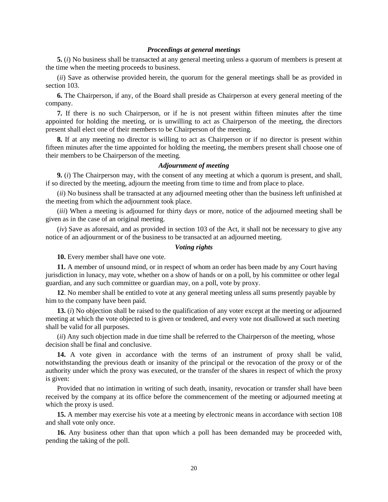### *Proceedings at general meetings*

**5.** (*i*) No business shall be transacted at any general meeting unless a quorum of members is present at the time when the meeting proceeds to business.

(*ii*) Save as otherwise provided herein, the quorum for the general meetings shall be as provided in section 103.

**6.** The Chairperson, if any, of the Board shall preside as Chairperson at every general meeting of the company.

**7.** If there is no such Chairperson, or if he is not present within fifteen minutes after the time appointed for holding the meeting, or is unwilling to act as Chairperson of the meeting, the directors present shall elect one of their members to be Chairperson of the meeting.

**8.** If at any meeting no director is willing to act as Chairperson or if no director is present within fifteen minutes after the time appointed for holding the meeting, the members present shall choose one of their members to be Chairperson of the meeting.

### *Adjournment of meeting*

**9.** (*i*) The Chairperson may, with the consent of any meeting at which a quorum is present, and shall, if so directed by the meeting, adjourn the meeting from time to time and from place to place.

(*ii*) No business shall be transacted at any adjourned meeting other than the business left unfinished at the meeting from which the adjournment took place.

(*iii*) When a meeting is adjourned for thirty days or more, notice of the adjourned meeting shall be given as in the case of an original meeting.

(*iv*) Save as aforesaid, and as provided in section 103 of the Act, it shall not be necessary to give any notice of an adjournment or of the business to be transacted at an adjourned meeting.

### *Voting rights*

**10.** Every member shall have one vote.

**11.** A member of unsound mind, or in respect of whom an order has been made by any Court having jurisdiction in lunacy, may vote, whether on a show of hands or on a poll, by his committee or other legal guardian, and any such committee or guardian may, on a poll, vote by proxy.

**12**. No member shall be entitled to vote at any general meeting unless all sums presently payable by him to the company have been paid.

**13.** (*i*) No objection shall be raised to the qualification of any voter except at the meeting or adjourned meeting at which the vote objected to is given or tendered, and every vote not disallowed at such meeting shall be valid for all purposes.

(*ii*) Any such objection made in due time shall be referred to the Chairperson of the meeting, whose decision shall be final and conclusive.

**14.** A vote given in accordance with the terms of an instrument of proxy shall be valid, notwithstanding the previous death or insanity of the principal or the revocation of the proxy or of the authority under which the proxy was executed, or the transfer of the shares in respect of which the proxy is given:

Provided that no intimation in writing of such death, insanity, revocation or transfer shall have been received by the company at its office before the commencement of the meeting or adjourned meeting at which the proxy is used.

**15.** A member may exercise his vote at a meeting by electronic means in accordance with section 108 and shall vote only once.

**16.** Any business other than that upon which a poll has been demanded may be proceeded with, pending the taking of the poll.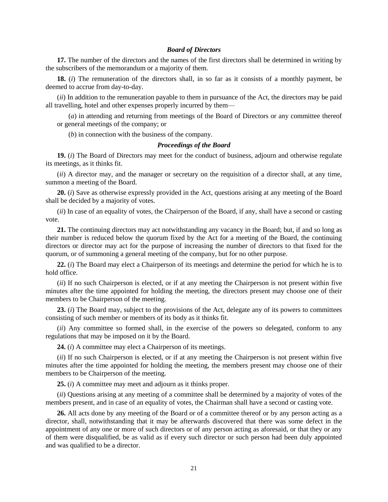### *Board of Directors*

**17.** The number of the directors and the names of the first directors shall be determined in writing by the subscribers of the memorandum or a majority of them.

**18.** (*i*) The remuneration of the directors shall, in so far as it consists of a monthly payment, be deemed to accrue from day-to-day.

(*ii*) In addition to the remuneration payable to them in pursuance of the Act, the directors may be paid all travelling, hotel and other expenses properly incurred by them—

(*a*) in attending and returning from meetings of the Board of Directors or any committee thereof or general meetings of the company; or

(*b*) in connection with the business of the company.

#### *Proceedings of the Board*

**19.** (*i*) The Board of Directors may meet for the conduct of business, adjourn and otherwise regulate its meetings, as it thinks fit.

(*ii*) A director may, and the manager or secretary on the requisition of a director shall, at any time, summon a meeting of the Board.

**20.** (*i*) Save as otherwise expressly provided in the Act, questions arising at any meeting of the Board shall be decided by a majority of votes.

(*ii*) In case of an equality of votes, the Chairperson of the Board, if any, shall have a second or casting vote.

**21.** The continuing directors may act notwithstanding any vacancy in the Board; but, if and so long as their number is reduced below the quorum fixed by the Act for a meeting of the Board, the continuing directors or director may act for the purpose of increasing the number of directors to that fixed for the quorum, or of summoning a general meeting of the company, but for no other purpose.

**22.** (*i*) The Board may elect a Chairperson of its meetings and determine the period for which he is to hold office.

(*ii*) If no such Chairperson is elected, or if at any meeting the Chairperson is not present within five minutes after the time appointed for holding the meeting, the directors present may choose one of their members to be Chairperson of the meeting.

**23.** (*i*) The Board may, subject to the provisions of the Act, delegate any of its powers to committees consisting of such member or members of its body as it thinks fit.

(*ii*) Any committee so formed shall, in the exercise of the powers so delegated, conform to any regulations that may be imposed on it by the Board.

**24.** (*i*) A committee may elect a Chairperson of its meetings.

(*ii*) If no such Chairperson is elected, or if at any meeting the Chairperson is not present within five minutes after the time appointed for holding the meeting, the members present may choose one of their members to be Chairperson of the meeting.

**25.** (*i*) A committee may meet and adjourn as it thinks proper.

(*ii*) Questions arising at any meeting of a committee shall be determined by a majority of votes of the members present, and in case of an equality of votes, the Chairman shall have a second or casting vote.

**26.** All acts done by any meeting of the Board or of a committee thereof or by any person acting as a director, shall, notwithstanding that it may be afterwards discovered that there was some defect in the appointment of any one or more of such directors or of any person acting as aforesaid, or that they or any of them were disqualified, be as valid as if every such director or such person had been duly appointed and was qualified to be a director.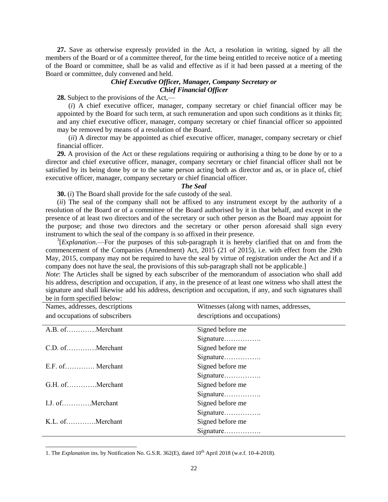**27.** Save as otherwise expressly provided in the Act, a resolution in writing, signed by all the members of the Board or of a committee thereof, for the time being entitled to receive notice of a meeting of the Board or committee, shall be as valid and effective as if it had been passed at a meeting of the Board or committee, duly convened and held.

# *Chief Executive Officer, Manager, Company Secretary or Chief Financial Officer*

**28.** Subject to the provisions of the Act,—

(*i*) A chief executive officer, manager, company secretary or chief financial officer may be appointed by the Board for such term, at such remuneration and upon such conditions as it thinks fit; and any chief executive officer, manager, company secretary or chief financial officer so appointed may be removed by means of a resolution of the Board.

(*ii*) A director may be appointed as chief executive officer, manager, company secretary or chief financial officer.

**29.** A provision of the Act or these regulations requiring or authorising a thing to be done by or to a director and chief executive officer, manager, company secretary or chief financial officer shall not be satisfied by its being done by or to the same person acting both as director and as, or in place of, chief executive officer, manager, company secretary or chief financial officer.

#### *The Seal*

**30.** (*i*) The Board shall provide for the safe custody of the seal.

(*ii*) The seal of the company shall not be affixed to any instrument except by the authority of a resolution of the Board or of a committee of the Board authorised by it in that behalf, and except in the presence of at least two directors and of the secretary or such other person as the Board may appoint for the purpose; and those two directors and the secretary or other person aforesaid shall sign every instrument to which the seal of the company is so affixed in their presence.

<sup>3</sup>[*Explanation*.—For the purposes of this sub-paragraph it is hereby clarified that on and from the commencement of the Companies (Amendment) Act, 2015 (21 of 2015), i.e. with effect from the 29th May, 2015, company may not be required to have the seal by virtue of registration under the Act and if a company does not have the seal, the provisions of this sub-paragraph shall not be applicable.]

*Note*: The Articles shall be signed by each subscriber of the memorandum of association who shall add his address, description and occupation, if any, in the presence of at least one witness who shall attest the signature and shall likewise add his address, description and occupation, if any, and such signatures shall be in form specified below:

| Names, addresses, descriptions | Witnesses (along with names, addresses, |
|--------------------------------|-----------------------------------------|
| and occupations of subscribers | descriptions and occupations)           |
| A.B. ofMerchant                | Signed before me                        |
|                                | Signature                               |
| C.D. ofMerchant                | Signed before me                        |
|                                | Signature                               |
| E.F. of Merchant               | Signed before me                        |
|                                | Signature                               |
| G.H. ofMerchant                | Signed before me                        |
|                                | Signature                               |
| I.J. ofMerchant                | Signed before me                        |
|                                | Signature                               |
| K.L. ofMerchant                | Signed before me                        |
|                                | Signature                               |

1. The *Explanation* ins. by Notification No. G.S.R. 362(E), dated 10<sup>th</sup> April 2018 (w.e.f. 10-4-2018).

 $\overline{a}$